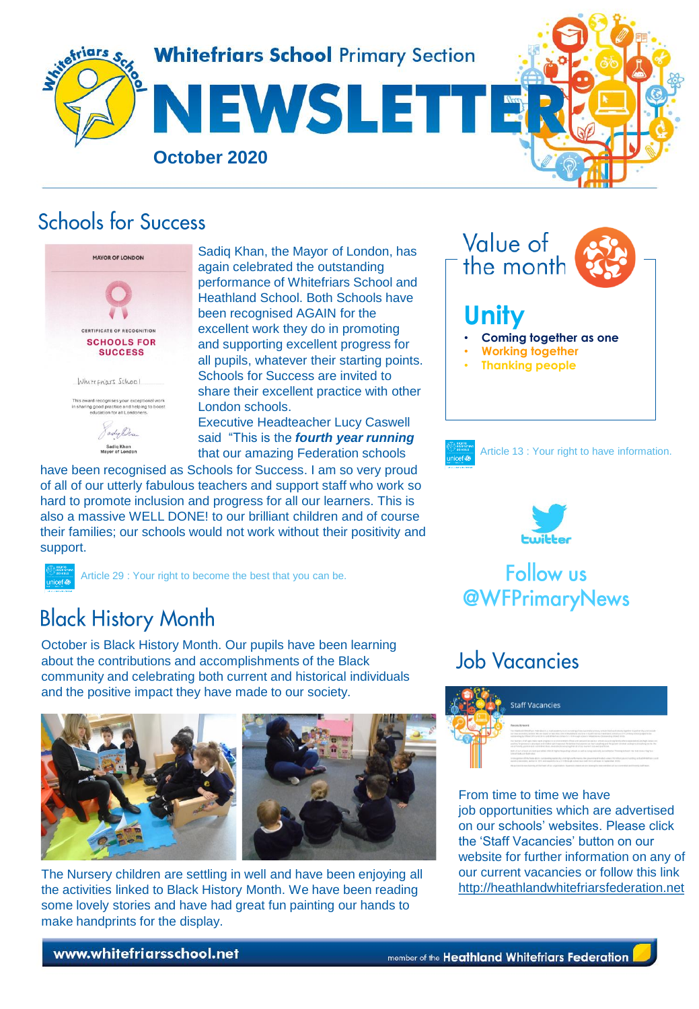

#### **Schools for Success**



Sadiq Khan, the Mayor of London, has again celebrated the outstanding performance of Whitefriars School and Heathland School. Both Schools have been recognised AGAIN for the excellent work they do in promoting and supporting excellent progress for all pupils, whatever their starting points. Schools for Success are invited to share their excellent practice with other London schools. Executive Headteacher Lucy Caswell

said "This is the *fourth year running* that our amazing Federation schools

have been recognised as Schools for Success. I am so very proud of all of our utterly fabulous teachers and support staff who work so hard to promote inclusion and progress for all our learners. This is also a massive WELL DONE! to our brilliant children and of course their families; our schools would not work without their positivity and support.



Article 29 : Your right to become the best that you can be.

# **Black History Month**

October is Black History Month. Our pupils have been learning about the contributions and accomplishments of the Black community and celebrating both current and historical individuals and the positive impact they have made to our society.





The Nursery children are settling in well and have been enjoying all the activities linked to Black History Month. We have been reading some lovely stories and have had great fun painting our hands to make handprints for the display.





Article 13 : Your right to have information.



#### **Follow us @WFPrimaryNews**

## **Job Vacancies**



From time to time we have job opportunities which are advertised on our schools' websites. Please click the 'Staff Vacancies' button on our website for further information on any of our current vacancies or follow this link [http://heathlandwhitefriarsfederation.net](http://heathlandwhitefriarsfederation.net/)

www.whitefriarsschool.net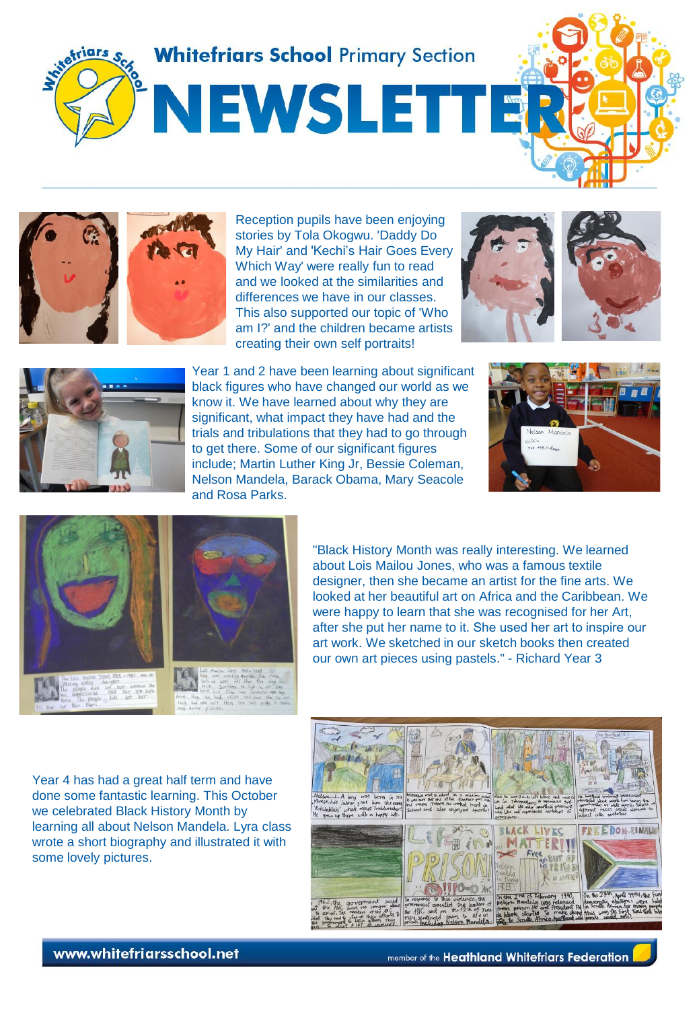



Reception pupils have been enjoying stories by Tola Okogwu. 'Daddy Do My Hair' and 'Kechi's Hair Goes Every Which Way' were really fun to read and we looked at the similarities and differences we have in our classes. This also supported our topic of 'Who am I?' and the children became artists creating their own self portraits!





Year 1 and 2 have been learning about significant black figures who have changed our world as we know it. We have learned about why they are significant, what impact they have had and the trials and tribulations that they had to go through to get there. Some of our significant figures include; Martin Luther King Jr, Bessie Coleman, Nelson Mandela, Barack Obama, Mary Seacole and Rosa Parks.





"Black History Month was really interesting. We learned about Lois Mailou Jones, who was a famous textile designer, then she became an artist for the fine arts. We looked at her beautiful art on Africa and the Caribbean. We were happy to learn that she was recognised for her Art, after she put her name to it. She used her art to inspire our art work. We sketched in our sketch books then created our own art pieces using pastels." - Richard Year 3

Year 4 has had a great half term and have done some fantastic learning. This October we celebrated Black History Month by learning all about Nelson Mandela. Lyra class wrote a short biography and illustrated it with some lovely pictures.

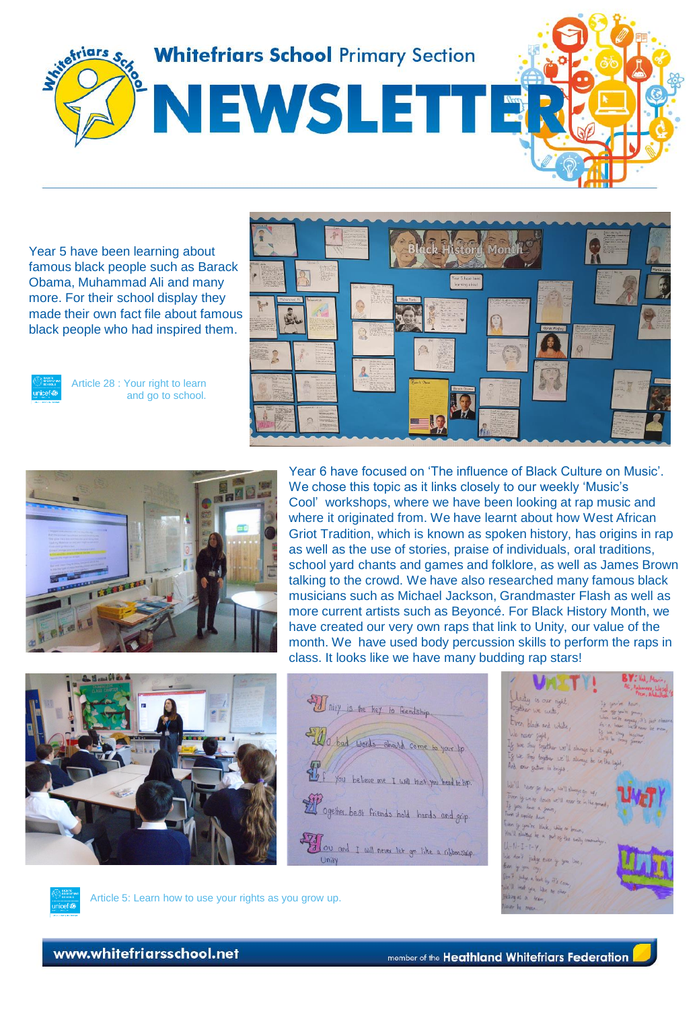

Year 5 have been learning about famous black people such as Barack Obama, Muhammad Ali and many more. For their school display they made their own fact file about famous black people who had inspired them.



Article 28 : Your right to learn and go to school.





Year 6 have focused on 'The influence of Black Culture on Music'. We chose this topic as it links closely to our weekly 'Music's Cool' workshops, where we have been looking at rap music and where it originated from. We have learnt about how West African Griot Tradition, which is known as spoken history, has origins in rap as well as the use of stories, praise of individuals, oral traditions, school yard chants and games and folklore, as well as James Brown talking to the crowd. We have also researched many famous black musicians such as Michael Jackson, Grandmaster Flash as well as more current artists such as Beyoncé. For Black History Month, we have created our very own raps that link to Unity, our value of the month. We have used body percussion skills to perform the raps in class. It looks like we have many budding rap stars!









Article 5: Learn how to use your rights as you grow up.

www.whitefriarsschool.net